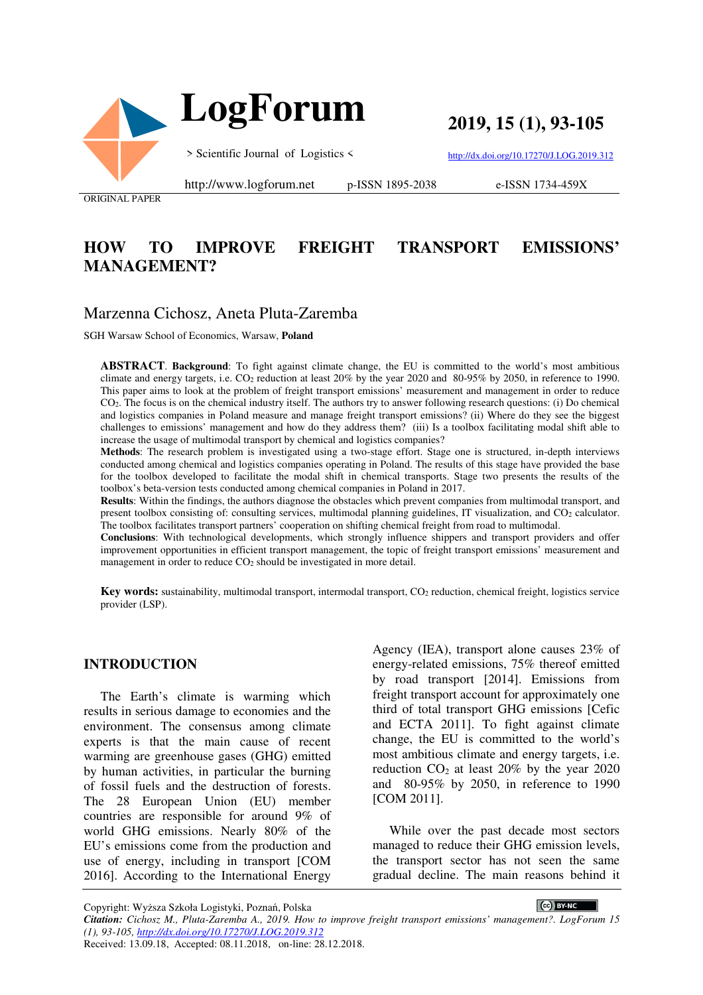

 **LogForum**

**2019, 15 (1), 93-105** 

> Scientific Journal of Logistics <

http://dx.doi.org/10.17270/J.LOG.2019.312

ORIGINAL PAPER

http://www.logforum.net p-ISSN 1895-2038

e-ISSN 1734-459X

# **HOW TO IMPROVE FREIGHT TRANSPORT EMISSIONS' MANAGEMENT?**

## Marzenna Cichosz, Aneta Pluta-Zaremba

SGH Warsaw School of Economics, Warsaw, **Poland** 

**ABSTRACT**. **Background**: To fight against climate change, the EU is committed to the world's most ambitious climate and energy targets, i.e.  $CO<sub>2</sub>$  reduction at least 20% by the year 2020 and 80-95% by 2050, in reference to 1990. This paper aims to look at the problem of freight transport emissions' measurement and management in order to reduce CO2. The focus is on the chemical industry itself. The authors try to answer following research questions: (i) Do chemical and logistics companies in Poland measure and manage freight transport emissions? (ii) Where do they see the biggest challenges to emissions' management and how do they address them? (iii) Is a toolbox facilitating modal shift able to increase the usage of multimodal transport by chemical and logistics companies?

**Methods**: The research problem is investigated using a two-stage effort. Stage one is structured, in-depth interviews conducted among chemical and logistics companies operating in Poland. The results of this stage have provided the base for the toolbox developed to facilitate the modal shift in chemical transports. Stage two presents the results of the toolbox's beta-version tests conducted among chemical companies in Poland in 2017.

**Results**: Within the findings, the authors diagnose the obstacles which prevent companies from multimodal transport, and present toolbox consisting of: consulting services, multimodal planning guidelines, IT visualization, and CO<sub>2</sub> calculator. The toolbox facilitates transport partners' cooperation on shifting chemical freight from road to multimodal.

**Conclusions**: With technological developments, which strongly influence shippers and transport providers and offer improvement opportunities in efficient transport management, the topic of freight transport emissions' measurement and management in order to reduce CO<sub>2</sub> should be investigated in more detail.

Key words: sustainability, multimodal transport, intermodal transport, CO<sub>2</sub> reduction, chemical freight, logistics service provider (LSP).

#### **INTRODUCTION**

The Earth's climate is warming which results in serious damage to economies and the environment. The consensus among climate experts is that the main cause of recent warming are greenhouse gases (GHG) emitted by human activities, in particular the burning of fossil fuels and the destruction of forests. The 28 European Union (EU) member countries are responsible for around 9% of world GHG emissions. Nearly 80% of the EU's emissions come from the production and use of energy, including in transport [COM 2016]. According to the International Energy

Agency (IEA), transport alone causes 23% of energy-related emissions, 75% thereof emitted by road transport [2014]. Emissions from freight transport account for approximately one third of total transport GHG emissions [Cefic and ECTA 2011]. To fight against climate change, the EU is committed to the world's most ambitious climate and energy targets, i.e. reduction  $CO<sub>2</sub>$  at least 20% by the year 2020 and 80-95% by 2050, in reference to 1990 [COM 2011].

While over the past decade most sectors managed to reduce their GHG emission levels, the transport sector has not seen the same gradual decline. The main reasons behind it

Copyright: Wyższa Szkoła Logistyki, Poznań, Polska

CC BY-NC *Citation: Cichosz M., Pluta-Zaremba A., 2019. How to improve freight transport emissions' management?. LogForum 15 (1), 93-105, http://dx.doi.org/10.17270/J.LOG.2019.312*  Received: 13.09.18, Accepted: 08.11.2018, on-line: 28.12.2018.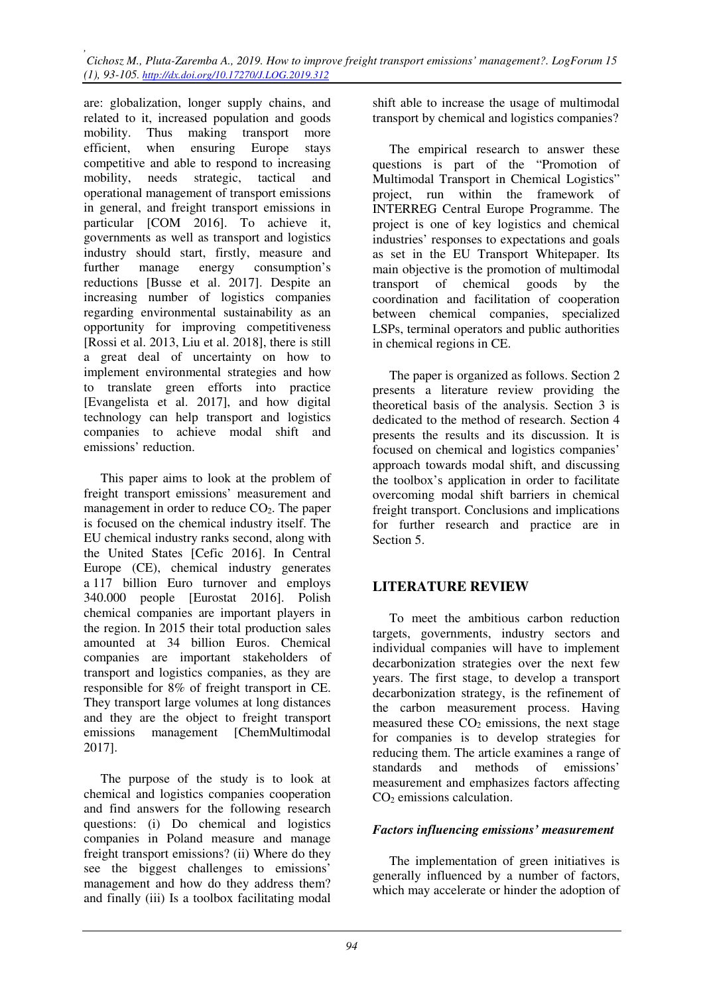are: globalization, longer supply chains, and related to it, increased population and goods mobility. Thus making transport more efficient, when ensuring Europe stays competitive and able to respond to increasing mobility, needs strategic, tactical and operational management of transport emissions in general, and freight transport emissions in particular [COM 2016]. To achieve it, governments as well as transport and logistics industry should start, firstly, measure and further manage energy consumption's reductions [Busse et al. 2017]. Despite an increasing number of logistics companies regarding environmental sustainability as an opportunity for improving competitiveness [Rossi et al. 2013, Liu et al. 2018], there is still a great deal of uncertainty on how to implement environmental strategies and how to translate green efforts into practice [Evangelista et al. 2017], and how digital technology can help transport and logistics companies to achieve modal shift and emissions' reduction.

This paper aims to look at the problem of freight transport emissions' measurement and management in order to reduce CO<sub>2</sub>. The paper is focused on the chemical industry itself. The EU chemical industry ranks second, along with the United States [Cefic 2016]. In Central Europe (CE), chemical industry generates a 117 billion Euro turnover and employs 340.000 people [Eurostat 2016]. Polish chemical companies are important players in the region. In 2015 their total production sales amounted at 34 billion Euros. Chemical companies are important stakeholders of transport and logistics companies, as they are responsible for 8% of freight transport in CE. They transport large volumes at long distances and they are the object to freight transport emissions management [ChemMultimodal 2017].

The purpose of the study is to look at chemical and logistics companies cooperation and find answers for the following research questions: (i) Do chemical and logistics companies in Poland measure and manage freight transport emissions? (ii) Where do they see the biggest challenges to emissions' management and how do they address them? and finally (iii) Is a toolbox facilitating modal

shift able to increase the usage of multimodal transport by chemical and logistics companies?

The empirical research to answer these questions is part of the "Promotion of Multimodal Transport in Chemical Logistics" project, run within the framework of INTERREG Central Europe Programme. The project is one of key logistics and chemical industries' responses to expectations and goals as set in the EU Transport Whitepaper. Its main objective is the promotion of multimodal transport of chemical goods by the coordination and facilitation of cooperation between chemical companies, specialized LSPs, terminal operators and public authorities in chemical regions in CE.

The paper is organized as follows. Section 2 presents a literature review providing the theoretical basis of the analysis. Section 3 is dedicated to the method of research. Section 4 presents the results and its discussion. It is focused on chemical and logistics companies' approach towards modal shift, and discussing the toolbox's application in order to facilitate overcoming modal shift barriers in chemical freight transport. Conclusions and implications for further research and practice are in Section 5.

# **LITERATURE REVIEW**

To meet the ambitious carbon reduction targets, governments, industry sectors and individual companies will have to implement decarbonization strategies over the next few years. The first stage, to develop a transport decarbonization strategy, is the refinement of the carbon measurement process. Having measured these  $CO<sub>2</sub>$  emissions, the next stage for companies is to develop strategies for reducing them. The article examines a range of standards and methods of emissions' measurement and emphasizes factors affecting  $CO<sub>2</sub>$  emissions calculation.

#### *Factors influencing emissions' measurement*

The implementation of green initiatives is generally influenced by a number of factors, which may accelerate or hinder the adoption of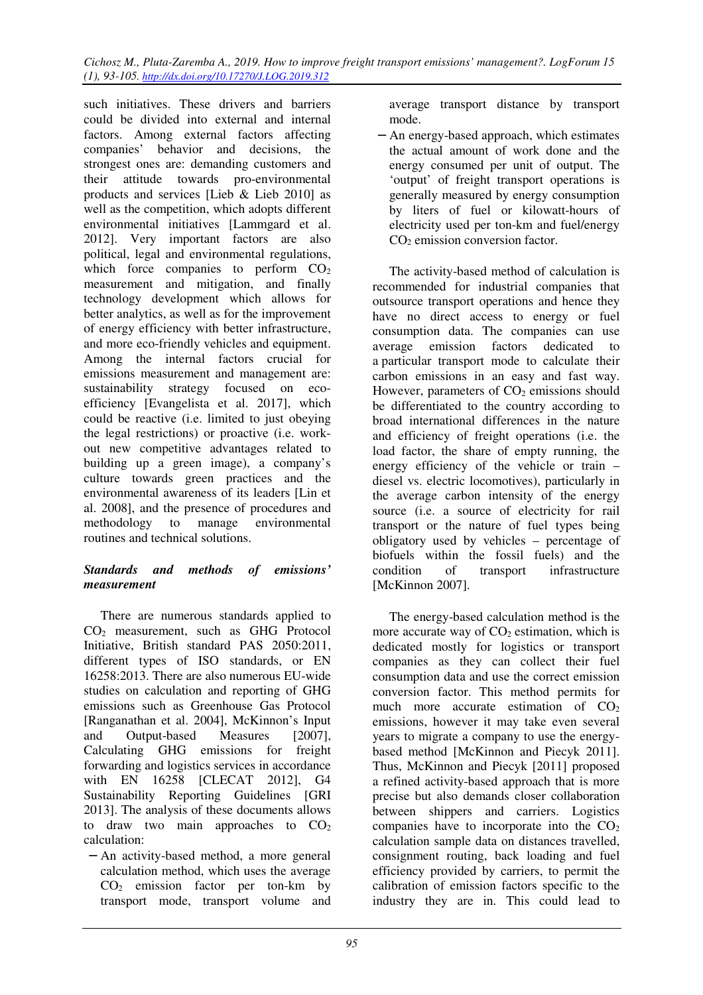such initiatives. These drivers and barriers could be divided into external and internal factors. Among external factors affecting companies' behavior and decisions, the strongest ones are: demanding customers and their attitude towards pro-environmental products and services [Lieb & Lieb 2010] as well as the competition, which adopts different environmental initiatives [Lammgard et al. 2012]. Very important factors are also political, legal and environmental regulations, which force companies to perform  $CO<sub>2</sub>$ measurement and mitigation, and finally technology development which allows for better analytics, as well as for the improvement of energy efficiency with better infrastructure, and more eco-friendly vehicles and equipment. Among the internal factors crucial for emissions measurement and management are: sustainability strategy focused on ecoefficiency [Evangelista et al. 2017], which could be reactive (i.e. limited to just obeying the legal restrictions) or proactive (i.e. workout new competitive advantages related to building up a green image), a company's culture towards green practices and the environmental awareness of its leaders [Lin et al. 2008], and the presence of procedures and methodology to manage environmental routines and technical solutions.

## *Standards and methods of emissions' measurement*

There are numerous standards applied to CO2 measurement, such as GHG Protocol Initiative, British standard PAS 2050:2011, different types of ISO standards, or EN 16258:2013. There are also numerous EU-wide studies on calculation and reporting of GHG emissions such as Greenhouse Gas Protocol [Ranganathan et al. 2004], McKinnon's Input and Output-based Measures [2007], Calculating GHG emissions for freight forwarding and logistics services in accordance with EN 16258 [CLECAT 2012], G4 Sustainability Reporting Guidelines [GRI 2013]. The analysis of these documents allows to draw two main approaches to  $CO<sub>2</sub>$ calculation:

− An activity-based method, a more general calculation method, which uses the average  $CO<sub>2</sub>$  emission factor per ton-km by transport mode, transport volume and average transport distance by transport mode.

− An energy-based approach, which estimates the actual amount of work done and the energy consumed per unit of output. The 'output' of freight transport operations is generally measured by energy consumption by liters of fuel or kilowatt-hours of electricity used per ton-km and fuel/energy CO<sub>2</sub> emission conversion factor.

The activity-based method of calculation is recommended for industrial companies that outsource transport operations and hence they have no direct access to energy or fuel consumption data. The companies can use average emission factors dedicated to a particular transport mode to calculate their carbon emissions in an easy and fast way. However, parameters of  $CO<sub>2</sub>$  emissions should be differentiated to the country according to broad international differences in the nature and efficiency of freight operations (i.e. the load factor, the share of empty running, the energy efficiency of the vehicle or train – diesel vs. electric locomotives), particularly in the average carbon intensity of the energy source (i.e. a source of electricity for rail transport or the nature of fuel types being obligatory used by vehicles – percentage of biofuels within the fossil fuels) and the condition of transport infrastructure [McKinnon 2007].

The energy-based calculation method is the more accurate way of  $CO<sub>2</sub>$  estimation, which is dedicated mostly for logistics or transport companies as they can collect their fuel consumption data and use the correct emission conversion factor. This method permits for much more accurate estimation of  $CO<sub>2</sub>$ emissions, however it may take even several years to migrate a company to use the energybased method [McKinnon and Piecyk 2011]. Thus, McKinnon and Piecyk [2011] proposed a refined activity-based approach that is more precise but also demands closer collaboration between shippers and carriers. Logistics companies have to incorporate into the  $CO<sub>2</sub>$ calculation sample data on distances travelled, consignment routing, back loading and fuel efficiency provided by carriers, to permit the calibration of emission factors specific to the industry they are in. This could lead to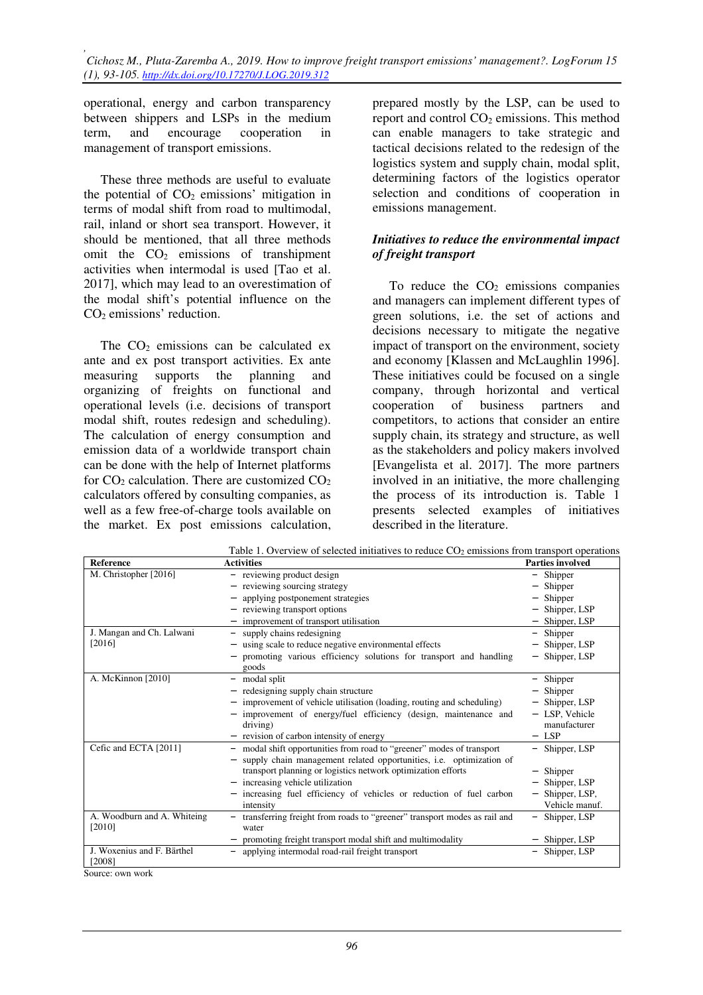operational, energy and carbon transparency between shippers and LSPs in the medium term, and encourage cooperation in management of transport emissions.

These three methods are useful to evaluate the potential of  $CO<sub>2</sub>$  emissions' mitigation in terms of modal shift from road to multimodal, rail, inland or short sea transport. However, it should be mentioned, that all three methods omit the  $CO<sub>2</sub>$  emissions of transhipment activities when intermodal is used [Tao et al. 2017], which may lead to an overestimation of the modal shift's potential influence on the CO2 emissions' reduction.

The  $CO<sub>2</sub>$  emissions can be calculated ex ante and ex post transport activities. Ex ante<br>measuring supports the planning and measuring supports the planning and organizing of freights on functional and operational levels (i.e. decisions of transport modal shift, routes redesign and scheduling). The calculation of energy consumption and emission data of a worldwide transport chain can be done with the help of Internet platforms for  $CO_2$  calculation. There are customized  $CO_2$ calculators offered by consulting companies, as well as a few free-of-charge tools available on the market. Ex post emissions calculation,

prepared mostly by the LSP, can be used to report and control  $CO<sub>2</sub>$  emissions. This method can enable managers to take strategic and tactical decisions related to the redesign of the logistics system and supply chain, modal split, determining factors of the logistics operator selection and conditions of cooperation in emissions management.

### *Initiatives to reduce the environmental impact of freight transport*

To reduce the  $CO<sub>2</sub>$  emissions companies and managers can implement different types of green solutions, i.e. the set of actions and decisions necessary to mitigate the negative impact of transport on the environment, society and economy [Klassen and McLaughlin 1996]. These initiatives could be focused on a single company, through horizontal and vertical cooperation of business partners and competitors, to actions that consider an entire supply chain, its strategy and structure, as well as the stakeholders and policy makers involved [Evangelista et al. 2017]. The more partners involved in an initiative, the more challenging the process of its introduction is. Table 1 presents selected examples of initiatives described in the literature.

| <b>Reference</b>                      | Table 1. OVERTICW OF SCIECIED INITIALITYCS TO TEDDICE CO2 CHILSSIONS HOME DANSPOLE OPERATORS<br>Activities                                 | <b>Parties involved</b>                  |
|---------------------------------------|--------------------------------------------------------------------------------------------------------------------------------------------|------------------------------------------|
| M. Christopher [2016]                 | - reviewing product design                                                                                                                 | Shipper<br>$\qquad \qquad -$             |
|                                       | reviewing sourcing strategy                                                                                                                | Shipper                                  |
|                                       | applying postponement strategies                                                                                                           | Shipper                                  |
|                                       | reviewing transport options                                                                                                                | Shipper, LSP                             |
|                                       | improvement of transport utilisation                                                                                                       | Shipper, LSP                             |
| J. Mangan and Ch. Lalwani             | supply chains redesigning                                                                                                                  | Shipper                                  |
| [2016]                                | using scale to reduce negative environmental effects                                                                                       | Shipper, LSP                             |
|                                       | promoting various efficiency solutions for transport and handling<br>goods                                                                 | Shipper, LSP<br>$\overline{\phantom{0}}$ |
| A. McKinnon [2010]                    | modal split                                                                                                                                | Shipper                                  |
|                                       | redesigning supply chain structure                                                                                                         | Shipper                                  |
|                                       | improvement of vehicle utilisation (loading, routing and scheduling)                                                                       | Shipper, LSP                             |
|                                       | improvement of energy/fuel efficiency (design, maintenance and<br>driving)                                                                 | LSP, Vehicle<br>-<br>manufacturer        |
|                                       | revision of carbon intensity of energy                                                                                                     | <b>LSP</b>                               |
| Cefic and ECTA [2011]                 | modal shift opportunities from road to "greener" modes of transport<br>supply chain management related opportunities, i.e. optimization of | Shipper, LSP                             |
|                                       | transport planning or logistics network optimization efforts                                                                               | Shipper                                  |
|                                       | increasing vehicle utilization                                                                                                             | Shipper, LSP                             |
|                                       | increasing fuel efficiency of vehicles or reduction of fuel carbon<br>intensity                                                            | Shipper, LSP,<br>-<br>Vehicle manuf.     |
| A. Woodburn and A. Whiteing<br>[2010] | transferring freight from roads to "greener" transport modes as rail and<br>water                                                          | Shipper, LSP<br>$\qquad \qquad -$        |
|                                       | promoting freight transport modal shift and multimodality                                                                                  | Shipper, LSP                             |
| J. Woxenius and F. Bärthel<br>[2008]  | applying intermodal road-rail freight transport                                                                                            | Shipper, LSP                             |

Table 1. Overview of selected initiatives to reduce CO2 emissions from transport operations

Source: own work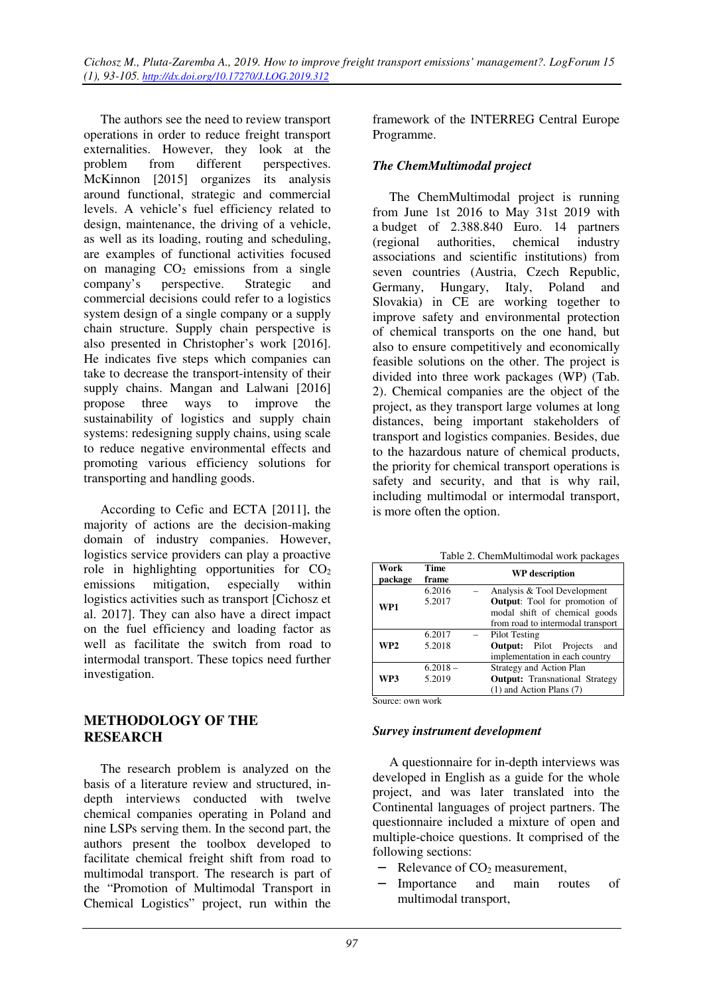The authors see the need to review transport operations in order to reduce freight transport externalities. However, they look at the problem from different perspectives. McKinnon [2015] organizes its analysis around functional, strategic and commercial levels. A vehicle's fuel efficiency related to design, maintenance, the driving of a vehicle, as well as its loading, routing and scheduling, are examples of functional activities focused on managing  $CO<sub>2</sub>$  emissions from a single company's perspective. Strategic and commercial decisions could refer to a logistics system design of a single company or a supply chain structure. Supply chain perspective is also presented in Christopher's work [2016]. He indicates five steps which companies can take to decrease the transport-intensity of their supply chains. Mangan and Lalwani [2016] propose three ways to improve the sustainability of logistics and supply chain systems: redesigning supply chains, using scale to reduce negative environmental effects and promoting various efficiency solutions for transporting and handling goods.

According to Cefic and ECTA [2011], the majority of actions are the decision-making domain of industry companies. However, logistics service providers can play a proactive role in highlighting opportunities for  $CO<sub>2</sub>$ emissions mitigation, especially within logistics activities such as transport [Cichosz et al. 2017]. They can also have a direct impact on the fuel efficiency and loading factor as well as facilitate the switch from road to intermodal transport. These topics need further investigation.

# **METHODOLOGY OF THE RESEARCH**

The research problem is analyzed on the basis of a literature review and structured, indepth interviews conducted with twelve chemical companies operating in Poland and nine LSPs serving them. In the second part, the authors present the toolbox developed to facilitate chemical freight shift from road to multimodal transport. The research is part of the "Promotion of Multimodal Transport in Chemical Logistics" project, run within the framework of the INTERREG Central Europe Programme.

# *The ChemMultimodal project*

The ChemMultimodal project is running from June 1st 2016 to May 31st 2019 with a budget of 2.388.840 Euro. 14 partners (regional authorities, chemical industry associations and scientific institutions) from seven countries (Austria, Czech Republic, Germany, Hungary, Italy, Poland and Slovakia) in CE are working together to improve safety and environmental protection of chemical transports on the one hand, but also to ensure competitively and economically feasible solutions on the other. The project is divided into three work packages (WP) (Tab. 2). Chemical companies are the object of the project, as they transport large volumes at long distances, being important stakeholders of transport and logistics companies. Besides, due to the hazardous nature of chemical products, the priority for chemical transport operations is safety and security, and that is why rail, including multimodal or intermodal transport, is more often the option.

Table 2. ChemMultimodal work packages

| Work<br>package | Time<br>frame | <b>WP</b> description                 |
|-----------------|---------------|---------------------------------------|
| WP1             | 6.2016        | Analysis & Tool Development           |
|                 | 5.2017        | <b>Output:</b> Tool for promotion of  |
|                 |               | modal shift of chemical goods         |
|                 |               | from road to intermodal transport     |
| WP <sub>2</sub> | 6.2017        | Pilot Testing                         |
|                 | 5.2018        | <b>Output:</b> Pilot Projects<br>and  |
|                 |               | implementation in each country        |
| WP3             | $6.2018 -$    | <b>Strategy and Action Plan</b>       |
|                 | 5.2019        | <b>Output:</b> Transnational Strategy |
|                 |               | $(1)$ and Action Plans $(7)$          |

Source: own work

#### *Survey instrument development*

A questionnaire for in-depth interviews was developed in English as a guide for the whole project, and was later translated into the Continental languages of project partners. The questionnaire included a mixture of open and multiple-choice questions. It comprised of the following sections:

- Relevance of  $CO<sub>2</sub>$  measurement,
- Importance and main routes of multimodal transport,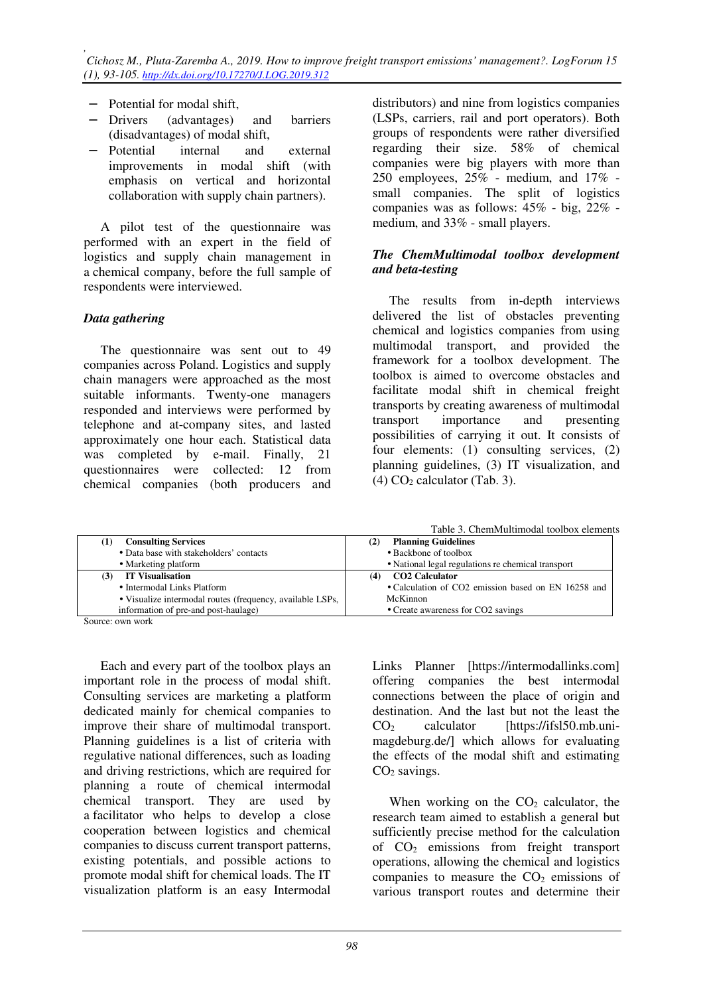- − Potential for modal shift,
- − Drivers (advantages) and barriers (disadvantages) of modal shift,
- − Potential internal and external improvements in modal shift (with emphasis on vertical and horizontal collaboration with supply chain partners).

A pilot test of the questionnaire was performed with an expert in the field of logistics and supply chain management in a chemical company, before the full sample of respondents were interviewed.

#### *Data gathering*

The questionnaire was sent out to 49 companies across Poland. Logistics and supply chain managers were approached as the most suitable informants. Twenty-one managers responded and interviews were performed by telephone and at-company sites, and lasted approximately one hour each. Statistical data was completed by e-mail. Finally, 21 questionnaires were collected: 12 from chemical companies (both producers and

distributors) and nine from logistics companies (LSPs, carriers, rail and port operators). Both groups of respondents were rather diversified regarding their size. 58% of chemical companies were big players with more than 250 employees, 25% - medium, and 17% small companies. The split of logistics companies was as follows: 45% - big, 22% medium, and 33% - small players.

#### *The ChemMultimodal toolbox development and beta-testing*

The results from in-depth interviews delivered the list of obstacles preventing chemical and logistics companies from using multimodal transport, and provided the framework for a toolbox development. The toolbox is aimed to overcome obstacles and facilitate modal shift in chemical freight transports by creating awareness of multimodal transport importance and presenting possibilities of carrying it out. It consists of four elements: (1) consulting services, (2) planning guidelines, (3) IT visualization, and  $(4)$  CO<sub>2</sub> calculator (Tab. 3).

Table 3. ChemMultimodal toolbox elements

| <b>Consulting Services</b>                                | <b>Planning Guidelines</b>                          |
|-----------------------------------------------------------|-----------------------------------------------------|
| • Data base with stakeholders' contacts                   | • Backbone of toolbox                               |
| • Marketing platform                                      | • National legal regulations re chemical transport  |
| <b>IT Visualisation</b>                                   | <b>CO2 Calculator</b>                               |
| • Intermodal Links Platform                               | • Calculation of CO2 emission based on EN 16258 and |
| • Visualize intermodal routes (frequency, available LSPs, | McKinnon                                            |
| information of pre-and post-haulage)                      | • Create awareness for CO2 savings                  |
| Source: own work                                          |                                                     |

Each and every part of the toolbox plays an important role in the process of modal shift. Consulting services are marketing a platform dedicated mainly for chemical companies to improve their share of multimodal transport. Planning guidelines is a list of criteria with regulative national differences, such as loading and driving restrictions, which are required for

planning a route of chemical intermodal chemical transport. They are used by a facilitator who helps to develop a close cooperation between logistics and chemical companies to discuss current transport patterns, existing potentials, and possible actions to promote modal shift for chemical loads. The IT visualization platform is an easy Intermodal

Links Planner [https://intermodallinks.com] offering companies the best intermodal connections between the place of origin and destination. And the last but not the least the  $CO<sub>2</sub>$  calculator [https://ifsl50.mb.unimagdeburg.de/] which allows for evaluating the effects of the modal shift and estimating  $CO<sub>2</sub>$  savings.

When working on the  $CO<sub>2</sub>$  calculator, the research team aimed to establish a general but sufficiently precise method for the calculation of  $CO<sub>2</sub>$  emissions from freight transport operations, allowing the chemical and logistics companies to measure the  $CO<sub>2</sub>$  emissions of various transport routes and determine their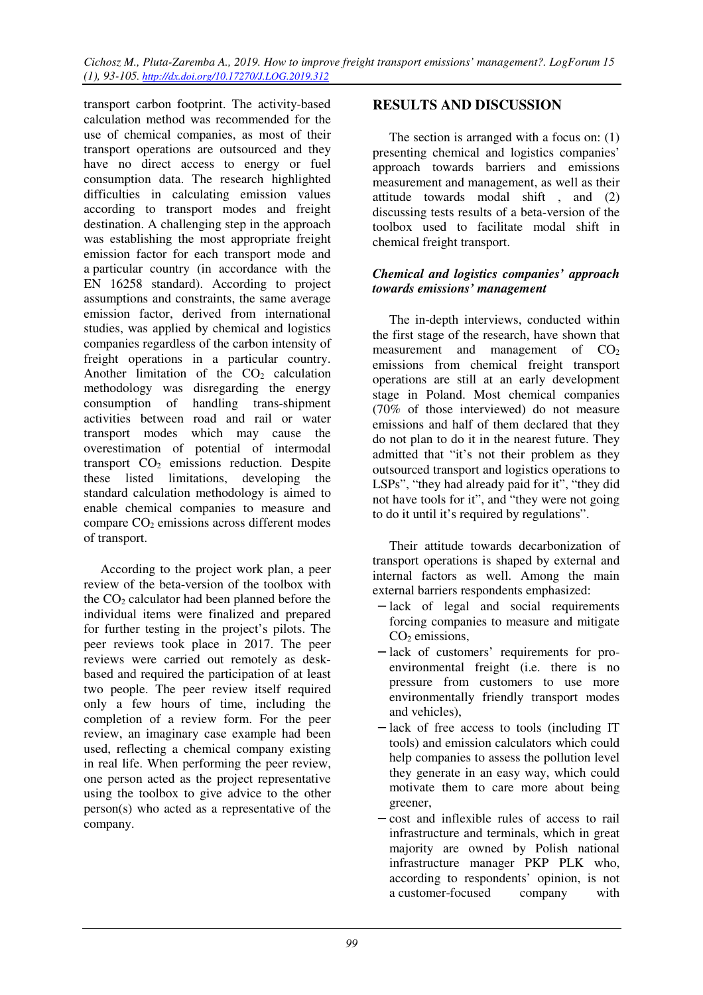transport carbon footprint. The activity-based calculation method was recommended for the use of chemical companies, as most of their transport operations are outsourced and they have no direct access to energy or fuel consumption data. The research highlighted difficulties in calculating emission values according to transport modes and freight destination. A challenging step in the approach was establishing the most appropriate freight emission factor for each transport mode and a particular country (in accordance with the EN 16258 standard). According to project assumptions and constraints, the same average emission factor, derived from international studies, was applied by chemical and logistics companies regardless of the carbon intensity of freight operations in a particular country. Another limitation of the  $CO<sub>2</sub>$  calculation methodology was disregarding the energy consumption of handling trans-shipment activities between road and rail or water transport modes which may cause the overestimation of potential of intermodal transport  $CO<sub>2</sub>$  emissions reduction. Despite these listed limitations, developing the standard calculation methodology is aimed to enable chemical companies to measure and compare CO<sub>2</sub> emissions across different modes of transport.

According to the project work plan, a peer review of the beta-version of the toolbox with the  $CO<sub>2</sub>$  calculator had been planned before the individual items were finalized and prepared for further testing in the project's pilots. The peer reviews took place in 2017. The peer reviews were carried out remotely as deskbased and required the participation of at least two people. The peer review itself required only a few hours of time, including the completion of a review form. For the peer review, an imaginary case example had been used, reflecting a chemical company existing in real life. When performing the peer review, one person acted as the project representative using the toolbox to give advice to the other person(s) who acted as a representative of the company.

# **RESULTS AND DISCUSSION**

The section is arranged with a focus on: (1) presenting chemical and logistics companies' approach towards barriers and emissions measurement and management, as well as their attitude towards modal shift , and (2) discussing tests results of a beta-version of the toolbox used to facilitate modal shift in chemical freight transport.

#### *Chemical and logistics companies' approach towards emissions' management*

The in-depth interviews, conducted within the first stage of the research, have shown that measurement and management of  $CO<sub>2</sub>$ emissions from chemical freight transport operations are still at an early development stage in Poland. Most chemical companies (70% of those interviewed) do not measure emissions and half of them declared that they do not plan to do it in the nearest future. They admitted that "it's not their problem as they outsourced transport and logistics operations to LSPs", "they had already paid for it", "they did not have tools for it", and "they were not going to do it until it's required by regulations".

Their attitude towards decarbonization of transport operations is shaped by external and internal factors as well. Among the main external barriers respondents emphasized:

- − lack of legal and social requirements forcing companies to measure and mitigate  $CO<sub>2</sub>$  emissions,
- − lack of customers' requirements for proenvironmental freight (i.e. there is no pressure from customers to use more environmentally friendly transport modes and vehicles),
- − lack of free access to tools (including IT tools) and emission calculators which could help companies to assess the pollution level they generate in an easy way, which could motivate them to care more about being greener,
- − cost and inflexible rules of access to rail infrastructure and terminals, which in great majority are owned by Polish national infrastructure manager PKP PLK who, according to respondents' opinion, is not a customer-focused company with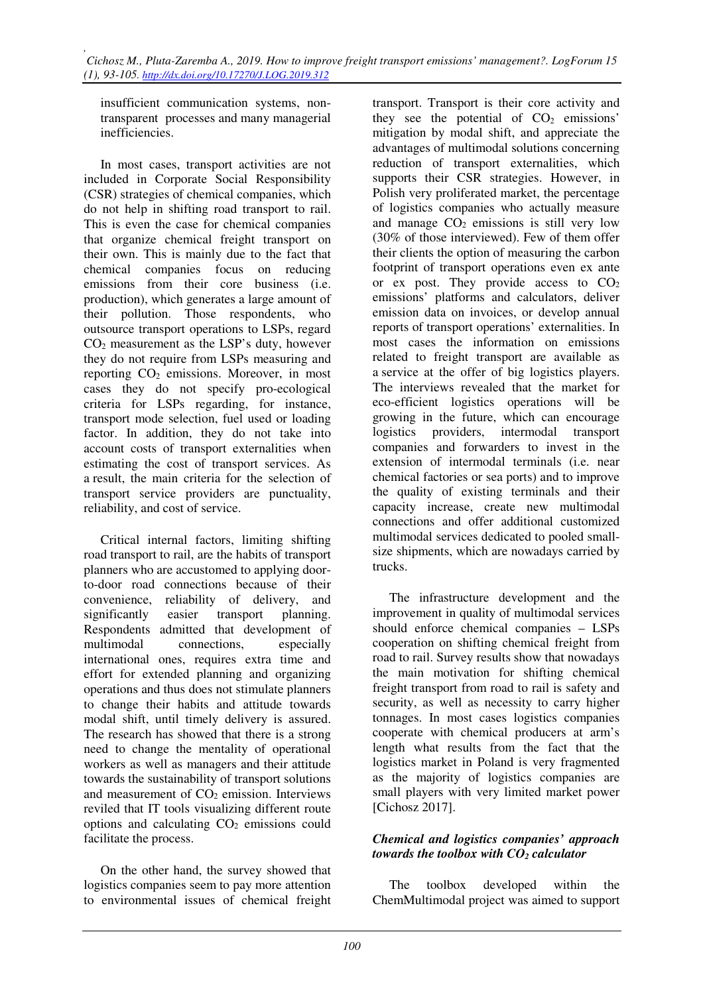*, Cichosz M., Pluta-Zaremba A., 2019. How to improve freight transport emissions' management?. LogForum 15 (1), 93-105. http://dx.doi.org/10.17270/J.LOG.2019.312* 

insufficient communication systems, nontransparent processes and many managerial inefficiencies.

In most cases, transport activities are not included in Corporate Social Responsibility (CSR) strategies of chemical companies, which do not help in shifting road transport to rail. This is even the case for chemical companies that organize chemical freight transport on their own. This is mainly due to the fact that chemical companies focus on reducing emissions from their core business (i.e. production), which generates a large amount of their pollution. Those respondents, who outsource transport operations to LSPs, regard CO2 measurement as the LSP's duty, however they do not require from LSPs measuring and reporting  $CO<sub>2</sub>$  emissions. Moreover, in most cases they do not specify pro-ecological criteria for LSPs regarding, for instance, transport mode selection, fuel used or loading factor. In addition, they do not take into account costs of transport externalities when estimating the cost of transport services. As a result, the main criteria for the selection of transport service providers are punctuality, reliability, and cost of service.

Critical internal factors, limiting shifting road transport to rail, are the habits of transport planners who are accustomed to applying doorto-door road connections because of their convenience, reliability of delivery, and significantly easier transport planning. Respondents admitted that development of multimodal connections, especially international ones, requires extra time and effort for extended planning and organizing operations and thus does not stimulate planners to change their habits and attitude towards modal shift, until timely delivery is assured. The research has showed that there is a strong need to change the mentality of operational workers as well as managers and their attitude towards the sustainability of transport solutions and measurement of  $CO<sub>2</sub>$  emission. Interviews reviled that IT tools visualizing different route options and calculating  $CO<sub>2</sub>$  emissions could facilitate the process.

On the other hand, the survey showed that logistics companies seem to pay more attention to environmental issues of chemical freight transport. Transport is their core activity and they see the potential of  $CO<sub>2</sub>$  emissions' mitigation by modal shift, and appreciate the advantages of multimodal solutions concerning reduction of transport externalities, which supports their CSR strategies. However, in Polish very proliferated market, the percentage of logistics companies who actually measure and manage  $CO<sub>2</sub>$  emissions is still very low (30% of those interviewed). Few of them offer their clients the option of measuring the carbon footprint of transport operations even ex ante or ex post. They provide access to  $CO<sub>2</sub>$ emissions' platforms and calculators, deliver emission data on invoices, or develop annual reports of transport operations' externalities. In most cases the information on emissions related to freight transport are available as a service at the offer of big logistics players. The interviews revealed that the market for eco-efficient logistics operations will be growing in the future, which can encourage logistics providers, intermodal transport companies and forwarders to invest in the extension of intermodal terminals (i.e. near chemical factories or sea ports) and to improve the quality of existing terminals and their capacity increase, create new multimodal connections and offer additional customized multimodal services dedicated to pooled smallsize shipments, which are nowadays carried by trucks.

The infrastructure development and the improvement in quality of multimodal services should enforce chemical companies – LSPs cooperation on shifting chemical freight from road to rail. Survey results show that nowadays the main motivation for shifting chemical freight transport from road to rail is safety and security, as well as necessity to carry higher tonnages. In most cases logistics companies cooperate with chemical producers at arm's length what results from the fact that the logistics market in Poland is very fragmented as the majority of logistics companies are small players with very limited market power [Cichosz 2017].

## *Chemical and logistics companies' approach towards the toolbox with CO2 calculator*

The toolbox developed within the ChemMultimodal project was aimed to support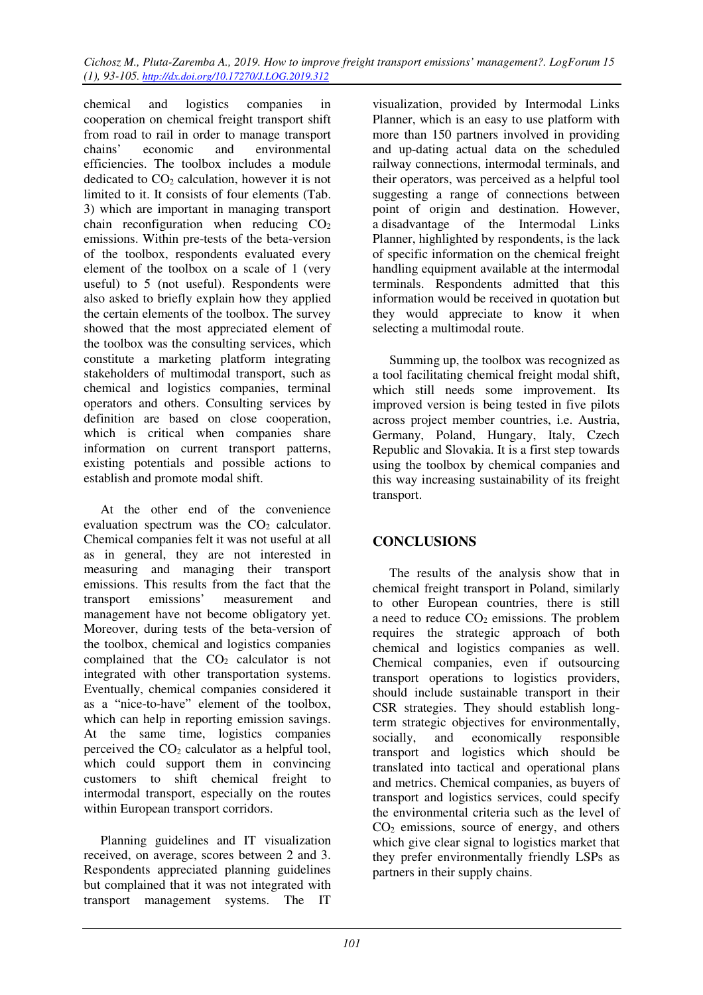*Cichosz M., Pluta-Zaremba A., 2019. How to improve freight transport emissions' management?. LogForum 15 (1), 93-105. http://dx.doi.org/10.17270/J.LOG.2019.312* 

chemical and logistics companies in cooperation on chemical freight transport shift from road to rail in order to manage transport chains' economic and environmental efficiencies. The toolbox includes a module dedicated to  $CO<sub>2</sub>$  calculation, however it is not limited to it. It consists of four elements (Tab. 3) which are important in managing transport chain reconfiguration when reducing  $CO<sub>2</sub>$ emissions. Within pre-tests of the beta-version of the toolbox, respondents evaluated every element of the toolbox on a scale of 1 (very useful) to 5 (not useful). Respondents were also asked to briefly explain how they applied the certain elements of the toolbox. The survey showed that the most appreciated element of the toolbox was the consulting services, which constitute a marketing platform integrating stakeholders of multimodal transport, such as chemical and logistics companies, terminal operators and others. Consulting services by definition are based on close cooperation, which is critical when companies share information on current transport patterns, existing potentials and possible actions to establish and promote modal shift.

At the other end of the convenience evaluation spectrum was the  $CO<sub>2</sub>$  calculator. Chemical companies felt it was not useful at all as in general, they are not interested in measuring and managing their transport emissions. This results from the fact that the transport emissions' measurement and management have not become obligatory yet. Moreover, during tests of the beta-version of the toolbox, chemical and logistics companies complained that the  $CO<sub>2</sub>$  calculator is not integrated with other transportation systems. Eventually, chemical companies considered it as a "nice-to-have" element of the toolbox, which can help in reporting emission savings. At the same time, logistics companies perceived the  $CO<sub>2</sub>$  calculator as a helpful tool, which could support them in convincing customers to shift chemical freight to intermodal transport, especially on the routes within European transport corridors.

Planning guidelines and IT visualization received, on average, scores between 2 and 3. Respondents appreciated planning guidelines but complained that it was not integrated with transport management systems. The IT

visualization, provided by Intermodal Links Planner, which is an easy to use platform with more than 150 partners involved in providing and up-dating actual data on the scheduled railway connections, intermodal terminals, and their operators, was perceived as a helpful tool suggesting a range of connections between point of origin and destination. However, a disadvantage of the Intermodal Links Planner, highlighted by respondents, is the lack of specific information on the chemical freight handling equipment available at the intermodal terminals. Respondents admitted that this information would be received in quotation but they would appreciate to know it when selecting a multimodal route.

Summing up, the toolbox was recognized as a tool facilitating chemical freight modal shift, which still needs some improvement. Its improved version is being tested in five pilots across project member countries, i.e. Austria, Germany, Poland, Hungary, Italy, Czech Republic and Slovakia. It is a first step towards using the toolbox by chemical companies and this way increasing sustainability of its freight transport.

# **CONCLUSIONS**

The results of the analysis show that in chemical freight transport in Poland, similarly to other European countries, there is still a need to reduce  $CO<sub>2</sub>$  emissions. The problem requires the strategic approach of both chemical and logistics companies as well. Chemical companies, even if outsourcing transport operations to logistics providers, should include sustainable transport in their CSR strategies. They should establish longterm strategic objectives for environmentally, socially, and economically responsible transport and logistics which should be translated into tactical and operational plans and metrics. Chemical companies, as buyers of transport and logistics services, could specify the environmental criteria such as the level of  $CO<sub>2</sub>$  emissions, source of energy, and others which give clear signal to logistics market that they prefer environmentally friendly LSPs as partners in their supply chains.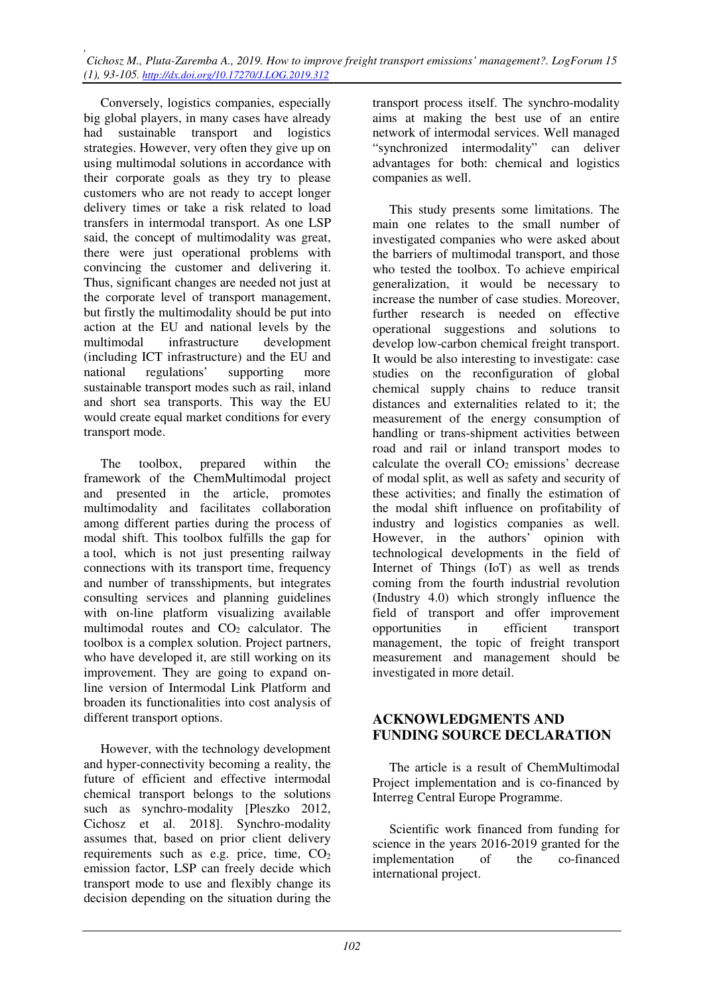*, Cichosz M., Pluta-Zaremba A., 2019. How to improve freight transport emissions' management?. LogForum 15 (1), 93-105. http://dx.doi.org/10.17270/J.LOG.2019.312* 

Conversely, logistics companies, especially big global players, in many cases have already had sustainable transport and logistics strategies. However, very often they give up on using multimodal solutions in accordance with their corporate goals as they try to please customers who are not ready to accept longer delivery times or take a risk related to load transfers in intermodal transport. As one LSP said, the concept of multimodality was great, there were just operational problems with convincing the customer and delivering it. Thus, significant changes are needed not just at the corporate level of transport management, but firstly the multimodality should be put into action at the EU and national levels by the multimodal infrastructure development (including ICT infrastructure) and the EU and national regulations' supporting more sustainable transport modes such as rail, inland and short sea transports. This way the EU would create equal market conditions for every transport mode.

The toolbox, prepared within the framework of the ChemMultimodal project and presented in the article, promotes multimodality and facilitates collaboration among different parties during the process of modal shift. This toolbox fulfills the gap for a tool, which is not just presenting railway connections with its transport time, frequency and number of transshipments, but integrates consulting services and planning guidelines with on-line platform visualizing available multimodal routes and  $CO<sub>2</sub>$  calculator. The toolbox is a complex solution. Project partners, who have developed it, are still working on its improvement. They are going to expand online version of Intermodal Link Platform and broaden its functionalities into cost analysis of different transport options.

However, with the technology development and hyper-connectivity becoming a reality, the future of efficient and effective intermodal chemical transport belongs to the solutions such as synchro-modality [Pleszko 2012, Cichosz et al. 2018]. Synchro-modality assumes that, based on prior client delivery requirements such as e.g. price, time,  $CO<sub>2</sub>$ emission factor, LSP can freely decide which transport mode to use and flexibly change its decision depending on the situation during the

transport process itself. The synchro-modality aims at making the best use of an entire network of intermodal services. Well managed "synchronized intermodality" can deliver advantages for both: chemical and logistics companies as well.

This study presents some limitations. The main one relates to the small number of investigated companies who were asked about the barriers of multimodal transport, and those who tested the toolbox. To achieve empirical generalization, it would be necessary to increase the number of case studies. Moreover, further research is needed on effective operational suggestions and solutions to develop low-carbon chemical freight transport. It would be also interesting to investigate: case studies on the reconfiguration of global chemical supply chains to reduce transit distances and externalities related to it; the measurement of the energy consumption of handling or trans-shipment activities between road and rail or inland transport modes to calculate the overall  $CO<sub>2</sub>$  emissions' decrease of modal split, as well as safety and security of these activities; and finally the estimation of the modal shift influence on profitability of industry and logistics companies as well. However, in the authors' opinion with technological developments in the field of Internet of Things (IoT) as well as trends coming from the fourth industrial revolution (Industry 4.0) which strongly influence the field of transport and offer improvement opportunities in efficient transport management, the topic of freight transport measurement and management should be investigated in more detail.

## **ACKNOWLEDGMENTS AND FUNDING SOURCE DECLARATION**

The article is a result of ChemMultimodal Project implementation and is co-financed by Interreg Central Europe Programme.

Scientific work financed from funding for science in the years 2016-2019 granted for the implementation of the co-financed international project.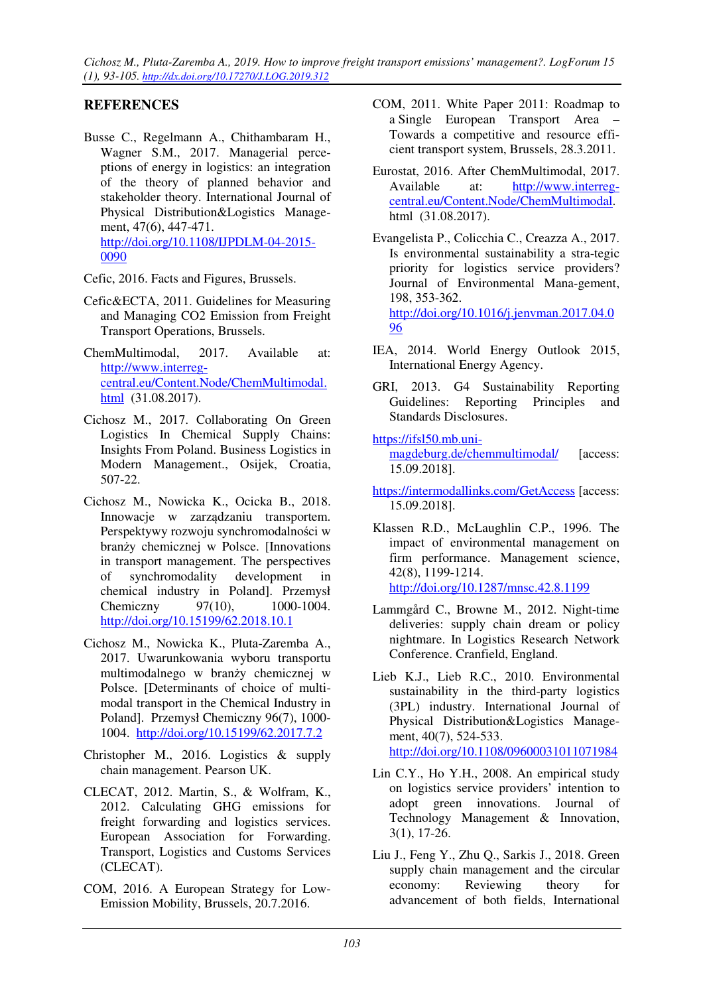*Cichosz M., Pluta-Zaremba A., 2019. How to improve freight transport emissions' management?. LogForum 15 (1), 93-105. http://dx.doi.org/10.17270/J.LOG.2019.312* 

# **REFERENCES**

Busse C., Regelmann A., Chithambaram H., Wagner S.M., 2017. Managerial perceptions of energy in logistics: an integration of the theory of planned behavior and stakeholder theory. International Journal of Physical Distribution&Logistics Management, 47(6), 447-471. http://doi.org/10.1108/IJPDLM-04-2015- 0090

Cefic, 2016. Facts and Figures, Brussels.

- Cefic&ECTA, 2011. Guidelines for Measuring and Managing CO2 Emission from Freight Transport Operations, Brussels.
- ChemMultimodal, 2017. Available at: http://www.interregcentral.eu/Content.Node/ChemMultimodal. html (31.08.2017).
- Cichosz M., 2017. Collaborating On Green Logistics In Chemical Supply Chains: Insights From Poland. Business Logistics in Modern Management., Osijek, Croatia, 507-22.
- Cichosz M., Nowicka K., Ocicka B., 2018. Innowacje w zarządzaniu transportem. Perspektywy rozwoju synchromodalności w branży chemicznej w Polsce. [Innovations in transport management. The perspectives of synchromodality development in chemical industry in Poland]. Przemysł Chemiczny 97(10), 1000-1004. http://doi.org/10.15199/62.2018.10.1
- Cichosz M., Nowicka K., Pluta-Zaremba A., 2017. Uwarunkowania wyboru transportu multimodalnego w branży chemicznej w Polsce. [Determinants of choice of multimodal transport in the Chemical Industry in Poland]. Przemysł Chemiczny 96(7), 1000- 1004. http://doi.org/10.15199/62.2017.7.2
- Christopher M., 2016. Logistics & supply chain management. Pearson UK.
- CLECAT, 2012. Martin, S., & Wolfram, K., 2012. Calculating GHG emissions for freight forwarding and logistics services. European Association for Forwarding. Transport, Logistics and Customs Services (CLECAT).
- COM, 2016. A European Strategy for Low-Emission Mobility, Brussels, 20.7.2016.
- COM, 2011. White Paper 2011: Roadmap to a Single European Transport Area – Towards a competitive and resource efficient transport system, Brussels, 28.3.2011.
- Eurostat, 2016. After ChemMultimodal, 2017. Available at: http://www.interregcentral.eu/Content.Node/ChemMultimodal. html (31.08.2017).
- Evangelista P., Colicchia C., Creazza A., 2017. Is environmental sustainability a stra-tegic priority for logistics service providers? Journal of Environmental Mana-gement, 198, 353-362. http://doi.org/10.1016/j.jenvman.2017.04.0 96
- IEA, 2014. World Energy Outlook 2015, International Energy Agency.
- GRI, 2013. G4 Sustainability Reporting Guidelines: Reporting Principles and Standards Disclosures.

#### https://ifsl50.mb.uni-

magdeburg.de/chemmultimodal/ [access: 15.09.2018].

- https://intermodallinks.com/GetAccess [access: 15.09.2018].
- Klassen R.D., McLaughlin C.P., 1996. The impact of environmental management on firm performance. Management science, 42(8), 1199-1214. http://doi.org/10.1287/mnsc.42.8.1199
- Lammgård C., Browne M., 2012. Night-time deliveries: supply chain dream or policy nightmare. In Logistics Research Network Conference. Cranfield, England.
- Lieb K.J., Lieb R.C., 2010. Environmental sustainability in the third-party logistics (3PL) industry. International Journal of Physical Distribution&Logistics Management, 40(7), 524-533. http://doi.org/10.1108/09600031011071984
- Lin C.Y., Ho Y.H., 2008. An empirical study on logistics service providers' intention to adopt green innovations. Journal of Technology Management & Innovation, 3(1), 17-26.
- Liu J., Feng Y., Zhu Q., Sarkis J., 2018. Green supply chain management and the circular economy: Reviewing theory for advancement of both fields, International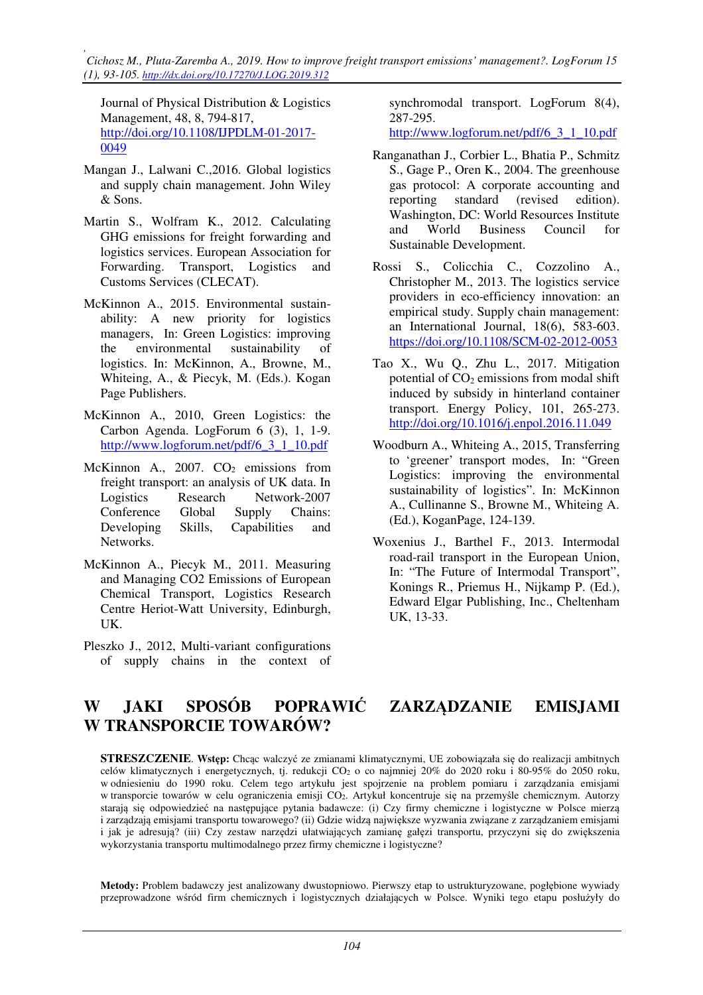*, Cichosz M., Pluta-Zaremba A., 2019. How to improve freight transport emissions' management?. LogForum 15 (1), 93-105. http://dx.doi.org/10.17270/J.LOG.2019.312* 

Journal of Physical Distribution & Logistics Management, 48, 8, 794-817, http://doi.org/10.1108/IJPDLM-01-2017- 0049

- Mangan J., Lalwani C.,2016. Global logistics and supply chain management. John Wiley & Sons.
- Martin S., Wolfram K., 2012. Calculating GHG emissions for freight forwarding and logistics services. European Association for Forwarding. Transport, Logistics and Customs Services (CLECAT).
- McKinnon A., 2015. Environmental sustainability: A new priority for logistics managers, In: Green Logistics: improving the environmental sustainability of logistics. In: McKinnon, A., Browne, M., Whiteing, A., & Piecyk, M. (Eds.). Kogan Page Publishers.
- McKinnon A., 2010, Green Logistics: the Carbon Agenda. LogForum 6 (3), 1, 1-9. http://www.logforum.net/pdf/6\_3\_1\_10.pdf
- McKinnon A.,  $2007$ .  $CO<sub>2</sub>$  emissions from freight transport: an analysis of UK data. In Logistics Research Network-2007 Conference Global Supply Chains: Developing Skills, Capabilities and Networks.
- McKinnon A., Piecyk M., 2011. Measuring and Managing CO2 Emissions of European Chemical Transport, Logistics Research Centre Heriot-Watt University, Edinburgh, UK.
- Pleszko J., 2012, Multi-variant configurations of supply chains in the context of

synchromodal transport. LogForum 8(4), 287-295.

http://www.logforum.net/pdf/6\_3\_1\_10.pdf

- Ranganathan J., Corbier L., Bhatia P., Schmitz S., Gage P., Oren K., 2004. The greenhouse gas protocol: A corporate accounting and reporting standard (revised edition). Washington, DC: World Resources Institute and World Business Council for Sustainable Development.
- Rossi S., Colicchia C., Cozzolino A., Christopher M., 2013. The logistics service providers in eco-efficiency innovation: an empirical study. Supply chain management: an International Journal, 18(6), 583-603. https://doi.org/10.1108/SCM-02-2012-0053
- Tao X., Wu Q., Zhu L., 2017. Mitigation potential of  $CO<sub>2</sub>$  emissions from modal shift induced by subsidy in hinterland container transport. Energy Policy, 101, 265-273. http://doi.org/10.1016/j.enpol.2016.11.049
- Woodburn A., Whiteing A., 2015, Transferring to 'greener' transport modes, In: "Green Logistics: improving the environmental sustainability of logistics". In: McKinnon A., Cullinanne S., Browne M., Whiteing A. (Ed.), KoganPage, 124-139.
- Woxenius J., Barthel F., 2013. Intermodal road-rail transport in the European Union, In: "The Future of Intermodal Transport", Konings R., Priemus H., Nijkamp P. (Ed.), Edward Elgar Publishing, Inc., Cheltenham UK, 13-33.

# **W JAKI SPOSÓB POPRAWIĆ ZARZĄDZANIE EMISJAMI W TRANSPORCIE TOWARÓW?**

**STRESZCZENIE**. **Wstęp:** Chcąc walczyć ze zmianami klimatycznymi, UE zobowiązała się do realizacji ambitnych celów klimatycznych i energetycznych, tj. redukcji CO2 o co najmniej 20% do 2020 roku i 80-95% do 2050 roku, w odniesieniu do 1990 roku. Celem tego artykułu jest spojrzenie na problem pomiaru i zarządzania emisjami w transporcie towarów w celu ograniczenia emisji CO2. Artykuł koncentruje się na przemyśle chemicznym. Autorzy starają się odpowiedzieć na następujące pytania badawcze: (i) Czy firmy chemiczne i logistyczne w Polsce mierzą i zarządzają emisjami transportu towarowego? (ii) Gdzie widzą największe wyzwania związane z zarządzaniem emisjami i jak je adresują? (iii) Czy zestaw narzędzi ułatwiających zamianę gałęzi transportu, przyczyni się do zwiększenia wykorzystania transportu multimodalnego przez firmy chemiczne i logistyczne?

**Metody:** Problem badawczy jest analizowany dwustopniowo. Pierwszy etap to ustrukturyzowane, pogłębione wywiady przeprowadzone wśród firm chemicznych i logistycznych działających w Polsce. Wyniki tego etapu posłużyły do